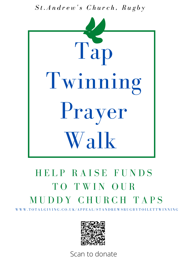*S t . A n d r e w 's C h u r c h , R u g b y*



# HELP RAISE FUNDS TO TWIN OUR M U D D Y C H U R C H T A P S

W W W . T O T A L G I V I N G . C O . U K / A P P E A L / S T A N D R E W S R U G B Y T O I L E T T W I N N I N G



Scan to donate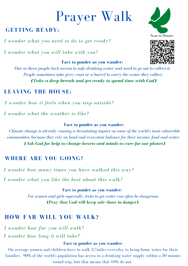# Prayer Walk

# **GETTING READY:**

*I wonder what you need to do to get ready?*

*I wonder what you will take with you?*

#### **Fact to ponder as you wander:**

*One in three people lack access to safe drinking water and need to go out to collect it. People sometimes take jerry cans or a barrel to carry the water they collect. (Take a deep breath and get ready to spend time with God)*

## **LEAVING THE HOUSE:**

*I wonder how it feels when you step outside?*

*I wonder what the weather is like?*

### **Fact to ponder as you wander:**

*Climate change is already causing a devastating impact on some of the world's most vulnerable communities, because they rely on land and ecosystem balance for their income, food and water. (Ask God for help to change hearts and minds to care for our planet)*

# **WHERE ARE YOU GOING?**

*I wonder how many times you have walked this way? I wonder what you like the best about this walk?*

> **Fact to ponder as you wander:** *For women and girls especially, treks to get water can often be dangerous.* **(Pray that God will keep safe those in danger)**

# **HOW FAR WILL YOU WALK?**

*I wonder how far you will walk? I wonder how long it will take?*

### **Fact to ponder as you wander:**

On average women and children have to walk 3.7miles everyday to bring home water for their families. 90% of the world's population has access to a drinking water supply within a 30 minute round trip, but that means that 10% do not.